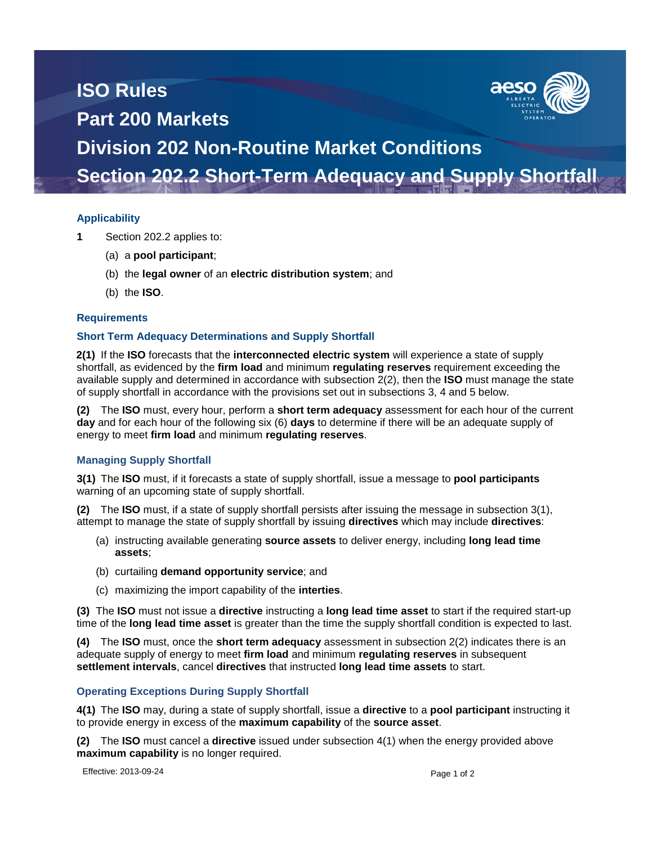# **ISO Rules Part 200 Markets**



# **Division 202 Non-Routine Market Conditions Section 202.2 Short-Term Adequacy and Supply Shortfall**

## **Applicability**

- **1** Section 202.2 applies to:
	- (a) a **pool participant**;
	- (b) the **legal owner** of an **electric distribution system**; and
	- (b) the **ISO**.

#### **Requirements**

#### **Short Term Adequacy Determinations and Supply Shortfall**

**2(1)** If the **ISO** forecasts that the **interconnected electric system** will experience a state of supply shortfall, as evidenced by the **firm load** and minimum **regulating reserves** requirement exceeding the available supply and determined in accordance with subsection 2(2), then the **ISO** must manage the state of supply shortfall in accordance with the provisions set out in subsections 3, 4 and 5 below.

**(2)** The **ISO** must, every hour, perform a **short term adequacy** assessment for each hour of the current **day** and for each hour of the following six (6) **days** to determine if there will be an adequate supply of energy to meet **firm load** and minimum **regulating reserves**.

## **Managing Supply Shortfall**

**3(1)** The **ISO** must, if it forecasts a state of supply shortfall, issue a message to **pool participants** warning of an upcoming state of supply shortfall.

**(2)** The **ISO** must, if a state of supply shortfall persists after issuing the message in subsection 3(1), attempt to manage the state of supply shortfall by issuing **directives** which may include **directives**:

- (a) instructing available generating **source assets** to deliver energy, including **long lead time assets**;
- (b) curtailing **demand opportunity service**; and
- (c) maximizing the import capability of the **interties**.

**(3)** The **ISO** must not issue a **directive** instructing a **long lead time asset** to start if the required start-up time of the **long lead time asset** is greater than the time the supply shortfall condition is expected to last.

**(4)** The **ISO** must, once the **short term adequacy** assessment in subsection 2(2) indicates there is an adequate supply of energy to meet **firm load** and minimum **regulating reserves** in subsequent **settlement intervals**, cancel **directives** that instructed **long lead time assets** to start.

## **Operating Exceptions During Supply Shortfall**

**4(1)** The **ISO** may, during a state of supply shortfall, issue a **directive** to a **pool participant** instructing it to provide energy in excess of the **maximum capability** of the **source asset**.

**(2)** The **ISO** must cancel a **directive** issued under subsection 4(1) when the energy provided above **maximum capability** is no longer required.

Effective: 2013-09-24 Page 1 of 2